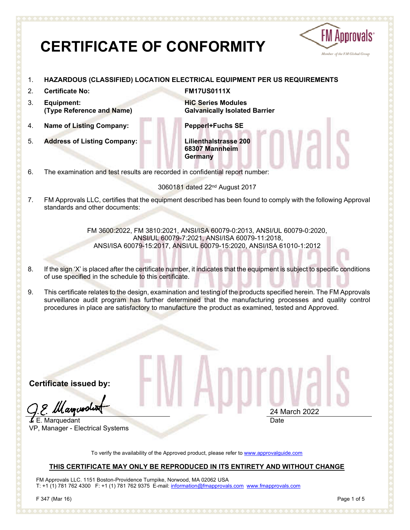# **FM Approvals CERTIFICATE OF CONFORMITY** Member of the FM Global Group 1. **HAZARDOUS (CLASSIFIED) LOCATION ELECTRICAL EQUIPMENT PER US REQUIREMENTS** 2. **Certificate No: FM17US0111X** 3. **Equipment: HiC Series Modules (Type Reference and Name) Galvanically Isolated Barrier** 4. **Name of Listing Company: Pepperl+Fuchs SE** 5. **Address of Listing Company: Lilienthalstrasse 200 68307 Mannheim Germany** 6. The examination and test results are recorded in confidential report number: 3060181 dated 22nd August 2017 7. FM Approvals LLC, certifies that the equipment described has been found to comply with the following Approval standards and other documents: FM 3600:2022, FM 3810:2021, ANSI/ISA 60079-0:2013, ANSI/UL 60079-0:2020, ANSI/UL 60079-7:2021, ANSI/ISA 60079-11:2018, ANSI/ISA 60079-15:2017, ANSI/UL 60079-15:2020, ANSI/ISA 61010-1:2012 8. If the sign 'X' is placed after the certificate number, it indicates that the equipment is subject to specific conditions of use specified in the schedule to this certificate. 9. This certificate relates to the design, examination and testing of the products specified herein. The FM Approvals surveillance audit program has further determined that the manufacturing processes and quality control procedures in place are satisfactory to manufacture the product as examined, tested and Approved. **Certificate issued by:** (asoceol 24 March 2022 E. Marquedant DateVP, Manager - Electrical Systems To verify the availability of the Approved product, please refer to www.approvalguide.com

### **THIS CERTIFICATE MAY ONLY BE REPRODUCED IN ITS ENTIRETY AND WITHOUT CHANGE**

FM Approvals LLC. 1151 Boston-Providence Turnpike, Norwood, MA 02062 USA T: +1 (1) 781 762 4300 F: +1 (1) 781 762 9375 E-mail: information@fmapprovals.com www.fmapprovals.com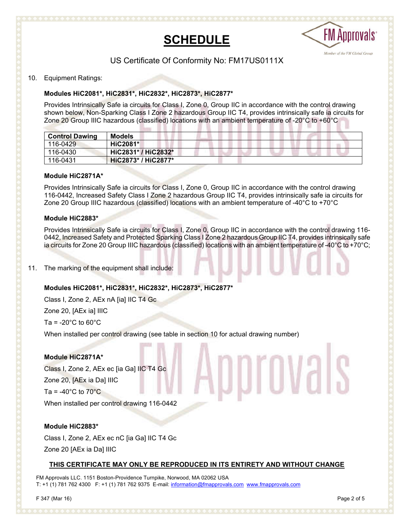



## US Certificate Of Conformity No: FM17US0111X

#### 10. Equipment Ratings:

#### **Modules HiC2081\*, HiC2831\*, HiC2832\*, HiC2873\*, HiC2877\***

Provides Intrinsically Safe ia circuits for Class I, Zone 0, Group IIC in accordance with the control drawing shown below, Non-Sparking Class I Zone 2 hazardous Group IIC T4, provides intrinsically safe ia circuits for Zone 20 Group IIIC hazardous (classified) locations with an ambient temperature of -20°C to +60°C

| <b>Control Dawing</b> | <b>Models</b>       |  |
|-----------------------|---------------------|--|
| 116-0429              | <b>HiC2081*</b>     |  |
| 116-0430              | HiC2831* / HiC2832* |  |
| 116-0431              | HiC2873* / HiC2877* |  |

#### **Module HiC2871A\***

Provides Intrinsically Safe ia circuits for Class I, Zone 0, Group IIC in accordance with the control drawing 116-0442, Increased Safety Class I Zone 2 hazardous Group IIC T4, provides intrinsically safe ia circuits for Zone 20 Group IIIC hazardous (classified) locations with an ambient temperature of -40°C to +70°C

#### **Module HiC2883\***

Provides Intrinsically Safe ia circuits for Class I, Zone 0, Group IIC in accordance with the control drawing 116- 0442, Increased Safety and Protected Sparking Class I Zone 2 hazardous Group IIC T4, provides intrinsically safe ia circuits for Zone 20 Group IIIC hazardous (classified) locations with an ambient temperature of -40°C to +70°C;

11. The marking of the equipment shall include:

#### **Modules HiC2081\*, HiC2831\*, HiC2832\*, HiC2873\*, HiC2877\***

Class I, Zone 2, AEx nA [ia] IIC T4 Gc

Zone 20, [AEx ia] IIIC

Ta =  $-20^{\circ}$ C to 60 $^{\circ}$ C

When installed per control drawing (see table in section 10 for actual drawing number)

#### **Module HiC2871A\***

Class I, Zone 2, AEx ec [ia Ga] IIC T4 Gc Zone 20, [AEx ia Da] IIIC Ta =  $-40^{\circ}$ C to  $70^{\circ}$ C When installed per control drawing 116-0442

#### **Module HiC2883\***

Class I, Zone 2, AEx ec nC [ia Ga] IIC T4 Gc Zone 20 [AEx ia Da] IIIC

#### **THIS CERTIFICATE MAY ONLY BE REPRODUCED IN ITS ENTIRETY AND WITHOUT CHANGE**

FM Approvals LLC. 1151 Boston-Providence Turnpike, Norwood, MA 02062 USA T: +1 (1) 781 762 4300 F: +1 (1) 781 762 9375 E-mail: information@fmapprovals.com www.fmapprovals.com

pprovals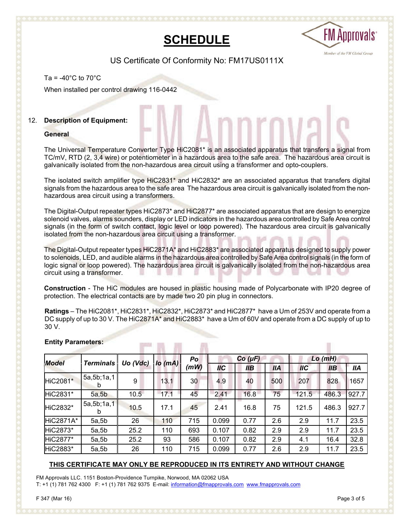## **SCHEDULE**



US Certificate Of Conformity No: FM17US0111X

#### Ta =  $-40^{\circ}$ C to  $70^{\circ}$ C

When installed per control drawing 116-0442

#### 12. **Description of Equipment:**

#### **General**

The Universal Temperature Converter Type HiC2081\* is an associated apparatus that transfers a signal from TC/mV, RTD (2, 3,4 wire) or potentiometer in a hazardous area to the safe area. The hazardous area circuit is galvanically isolated from the non-hazardous area circuit using a transformer and opto-couplers.

The isolated switch amplifier type HiC2831\* and HiC2832\* are an associated apparatus that transfers digital signals from the hazardous area to the safe area The hazardous area circuit is galvanically isolated from the nonhazardous area circuit using a transformers.

The Digital-Output repeater types HiC2873\* and HiC2877\* are associated apparatus that are design to energize solenoid valves, alarms sounders, display or LED indicators in the hazardous area controlled by Safe Area control signals (in the form of switch contact, logic level or loop powered). The hazardous area circuit is galvanically isolated from the non-hazardous area circuit using a transformer.

The Digital-Output repeater types HiC2871A\* and HiC2883\* are associated apparatus designed to supply power to solenoids, LED, and audible alarms in the hazardous area controlled by Safe Area control signals (in the form of logic signal or loop powered). The hazardous area circuit is galvanically isolated from the non-hazardous area circuit using a transformer.

**Construction** - The HiC modules are housed in plastic housing made of Polycarbonate with IP20 degree of protection. The electrical contacts are by made two 20 pin plug in connectors.

**Ratings** – The HiC2081\*, HiC2831\*, HiC2832\*, HiC2873\* and HiC2877\* have a Um of 253V and operate from a DC supply of up to 30 V. The HiC2871A\* and HiC2883\* have a Um of 60V and operate from a DC supply of up to 30 V.

m

| <b>Model</b>     | <b>Terminals</b> | Uo (Vdc) | $\log(mA)$ | Po<br>(mW) | $Co(\mu F)$ |      |            | $Lo$ ( $mH$ ) |       |            |
|------------------|------------------|----------|------------|------------|-------------|------|------------|---------------|-------|------------|
|                  |                  |          |            |            | <b>IIC</b>  | llВ  | <b>IIA</b> | <b>IIC</b>    | IIB   | <b>IIA</b> |
| HiC2081*         | 5a, 5b; 1a, 1    | 9        | 13.1       | 30         | 4.9         | 40   | 500        | 207           | 828   | 1657       |
| HiC2831*         | 5a, 5b           | 10.5     | 17.1       | 45         | 2.41        | 16.8 | 75         | 121.5         | 486.3 | 927.7      |
| HiC2832*         | 5a, 5b, 1a, 1    | 10.5     | 17.1       | 45         | 2.41        | 16.8 | 75         | 121.5         | 486.3 | 927.7      |
| <b>HiC2871A*</b> | 5a, 5b           | 26       | 110        | 715        | 0.099       | 0.77 | 2.6        | 2.9           | 11.7  | 23.5       |
| HiC2873*         | 5a, 5b           | 25.2     | 110        | 693        | 0.107       | 0.82 | 2.9        | 2.9           | 11.7  | 23.5       |
| HiC2877*         | 5a, 5b           | 25.2     | 93         | 586        | 0.107       | 0.82 | 2.9        | 4.1           | 16.4  | 32.8       |
| HiC2883*         | 5a, 5b           | 26       | 110        | 715        | 0.099       | 0.77 | 2.6        | 2.9           | 11.7  | 23.5       |

#### **Entity Parameters:**

#### **THIS CERTIFICATE MAY ONLY BE REPRODUCED IN ITS ENTIRETY AND WITHOUT CHANGE**

FM Approvals LLC. 1151 Boston-Providence Turnpike, Norwood, MA 02062 USA T: +1 (1) 781 762 4300 F: +1 (1) 781 762 9375 E-mail: information@fmapprovals.com www.fmapprovals.com

**Send the Send Street** 

ш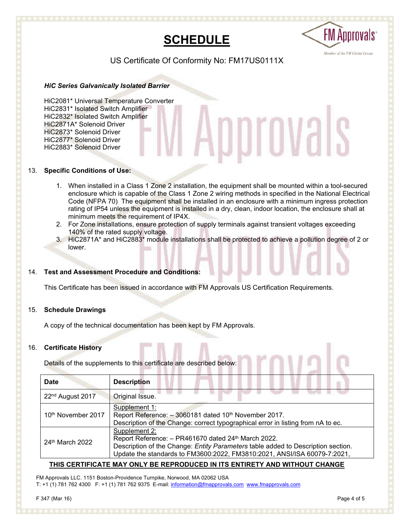



US Certificate Of Conformity No: FM17US0111X

#### *HiC Series Galvanically Isolated Barrier*

HiC2081\* Universal Temperature Converter HiC2831\* Isolated Switch Amplifier HiC2832\* Isolated Switch Amplifier HiC2871A\* Solenoid Driver HiC2873\* Solenoid Driver HiC2877\* Solenoid Driver HiC2883\* Solenoid Driver

#### 13. **Specific Conditions of Use:**

1. When installed in a Class 1 Zone 2 installation, the equipment shall be mounted within a tool-secured enclosure which is capable of the Class 1 Zone 2 wiring methods in specified in the National Electrical Code (NFPA 70) The equipment shall be installed in an enclosure with a minimum ingress protection rating of IP54 unless the equipment is installed in a dry, clean, indoor location, the enclosure shall at minimum meets the requirement of IP4X.

Approvais

- 2. For Zone installations, ensure protection of supply terminals against transient voltages exceeding 140% of the rated supply voltage.
- 3. HiC2871A\* and HiC2883\* module installations shall be protected to achieve a pollution degree of 2 or lower.

#### 14. **Test and Assessment Procedure and Conditions:**

This Certificate has been issued in accordance with FM Approvals US Certification Requirements.

#### 15. **Schedule Drawings**

A copy of the technical documentation has been kept by FM Approvals.

#### 16. **Certificate History**

Details of the supplements to this certificate are described below:

| Date                                                                                                                                                                                                                                                                | <b>Description</b>                                                                                                                                         |  |  |  |  |  |  |
|---------------------------------------------------------------------------------------------------------------------------------------------------------------------------------------------------------------------------------------------------------------------|------------------------------------------------------------------------------------------------------------------------------------------------------------|--|--|--|--|--|--|
| 22 <sup>nd</sup> August 2017                                                                                                                                                                                                                                        | Original Issue.                                                                                                                                            |  |  |  |  |  |  |
| 10 <sup>th</sup> November 2017                                                                                                                                                                                                                                      | Supplement 1:<br>Report Reference: - 3060181 dated 10th November 2017.<br>Description of the Change: correct typographical error in listing from nA to ec. |  |  |  |  |  |  |
| Supplement 2:<br>Report Reference: - PR461670 dated 24th March 2022.<br>24 <sup>th</sup> March 2022<br>Description of the Change: Entity Parameters table added to Description section.<br>Update the standards to FM3600:2022, FM3810:2021, ANSI/ISA 60079-7:2021, |                                                                                                                                                            |  |  |  |  |  |  |

#### **THIS CERTIFICATE MAY ONLY BE REPRODUCED IN ITS ENTIRETY AND WITHOUT CHANGE**

FM Approvals LLC. 1151 Boston-Providence Turnpike, Norwood, MA 02062 USA T: +1 (1) 781 762 4300 F: +1 (1) 781 762 9375 E-mail: information@fmapprovals.com www.fmapprovals.com